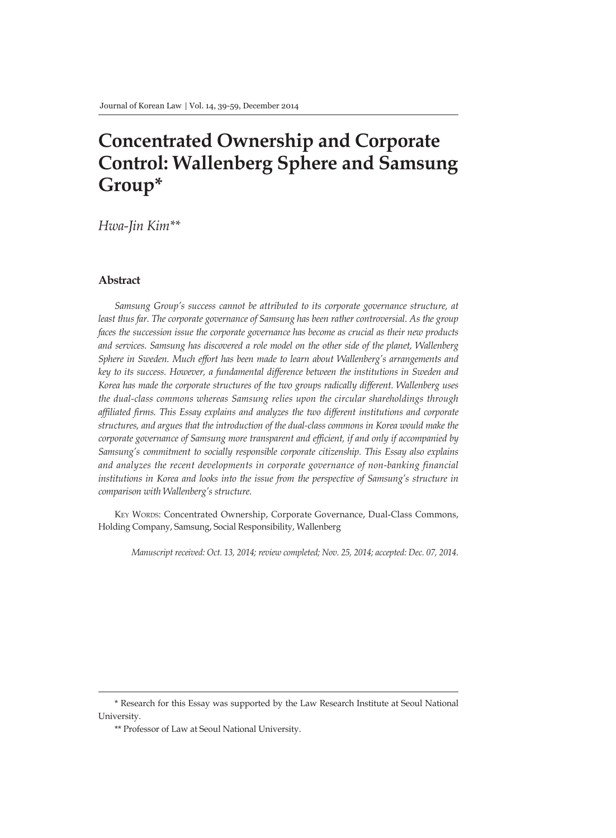# **Concentrated Ownership and Corporate Control: Wallenberg Sphere and Samsung Group\***

*Hwa-Jin Kim\*\**

#### **Abstract**

*Samsung Group's success cannot be attributed to its corporate governance structure, at*  least thus far. The corporate governance of Samsung has been rather controversial. As the group *faces the succession issue the corporate governance has become as crucial as their new products and services. Samsung has discovered a role model on the other side of the planet, Wallenberg Sphere in Sweden. Much effort has been made to learn about Wallenberg's arrangements and key to its success. However, a fundamental difference between the institutions in Sweden and Korea has made the corporate structures of the two groups radically different. Wallenberg uses the dual-class commons whereas Samsung relies upon the circular shareholdings through affiliated firms. This Essay explains and analyzes the two different institutions and corporate structures, and argues that the introduction of the dual-class commons in Korea would make the corporate governance of Samsung more transparent and efficient, if and only if accompanied by Samsung's commitment to socially responsible corporate citizenship. This Essay also explains*  and analyzes the recent developments in corporate governance of non-banking financial *institutions in Korea and looks into the issue from the perspective of Samsung's structure in comparison with Wallenberg's structure.* 

KEY WORDS: Concentrated Ownership, Corporate Governance, Dual-Class Commons, Holding Company, Samsung, Social Responsibility, Wallenberg

*Manuscript received: Oct. 13, 2014; review completed; Nov. 25, 2014; accepted: Dec. 07, 2014.*

<sup>\*</sup> Research for this Essay was supported by the Law Research Institute at Seoul National University.

<sup>\*\*</sup> Professor of Law at Seoul National University.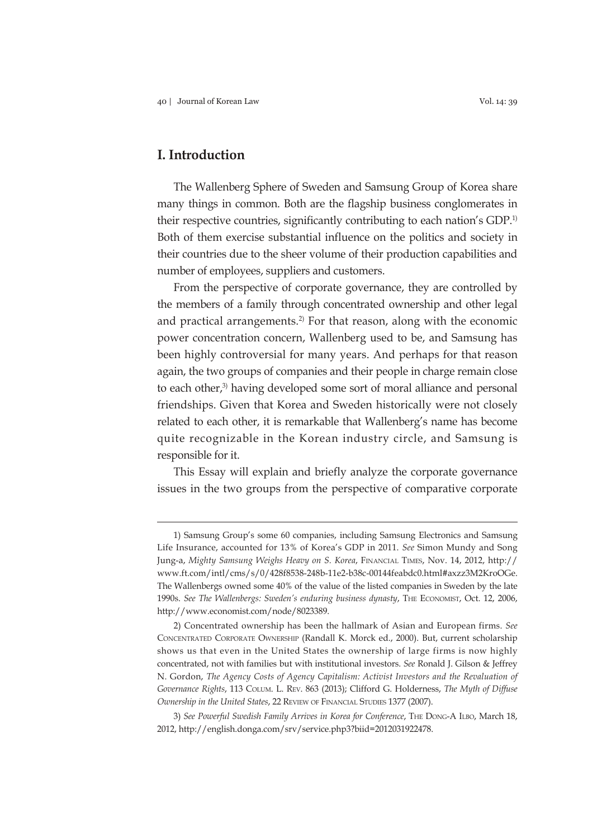# **I. Introduction**

The Wallenberg Sphere of Sweden and Samsung Group of Korea share many things in common. Both are the flagship business conglomerates in their respective countries, significantly contributing to each nation's GDP.1) Both of them exercise substantial influence on the politics and society in their countries due to the sheer volume of their production capabilities and number of employees, suppliers and customers.

From the perspective of corporate governance, they are controlled by the members of a family through concentrated ownership and other legal and practical arrangements.<sup>2)</sup> For that reason, along with the economic power concentration concern, Wallenberg used to be, and Samsung has been highly controversial for many years. And perhaps for that reason again, the two groups of companies and their people in charge remain close to each other,<sup>3)</sup> having developed some sort of moral alliance and personal friendships. Given that Korea and Sweden historically were not closely related to each other, it is remarkable that Wallenberg's name has become quite recognizable in the Korean industry circle, and Samsung is responsible for it.

This Essay will explain and briefly analyze the corporate governance issues in the two groups from the perspective of comparative corporate

<sup>1)</sup> Samsung Group's some 60 companies, including Samsung Electronics and Samsung Life Insurance, accounted for 13% of Korea's GDP in 2011. *See* Simon Mundy and Song Jung-a, *Mighty Samsung Weighs Heavy on S. Korea*, Financial Times, Nov. 14, 2012, http:// www.ft.com/intl/cms/s/0/428f8538-248b-11e2-b38c-00144feabdc0.html#axzz3M2KroOGe. The Wallenbergs owned some 40% of the value of the listed companies in Sweden by the late 1990s. *See The Wallenbergs: Sweden's enduring business dynasty*, The Economist, Oct. 12, 2006, http://www.economist.com/node/8023389.

<sup>2)</sup> Concentrated ownership has been the hallmark of Asian and European firms. *See*  Concentrated Corporate Ownership (Randall K. Morck ed., 2000). But, current scholarship shows us that even in the United States the ownership of large firms is now highly concentrated, not with families but with institutional investors. *See* Ronald J. Gilson & Jeffrey N. Gordon, *The Agency Costs of Agency Capitalism: Activist Investors and the Revaluation of Governance Rights*, 113 Colum. L. Rev. 863 (2013); Clifford G. Holderness, *The Myth of Diffuse Ownership in the United States, 22 REVIEW OF FINANCIAL STUDIES 1377 (2007).* 

<sup>3)</sup> See Powerful Swedish Family Arrives in Korea for Conference, THE DONG-A ILBO, March 18, 2012, http://english.donga.com/srv/service.php3?biid=2012031922478.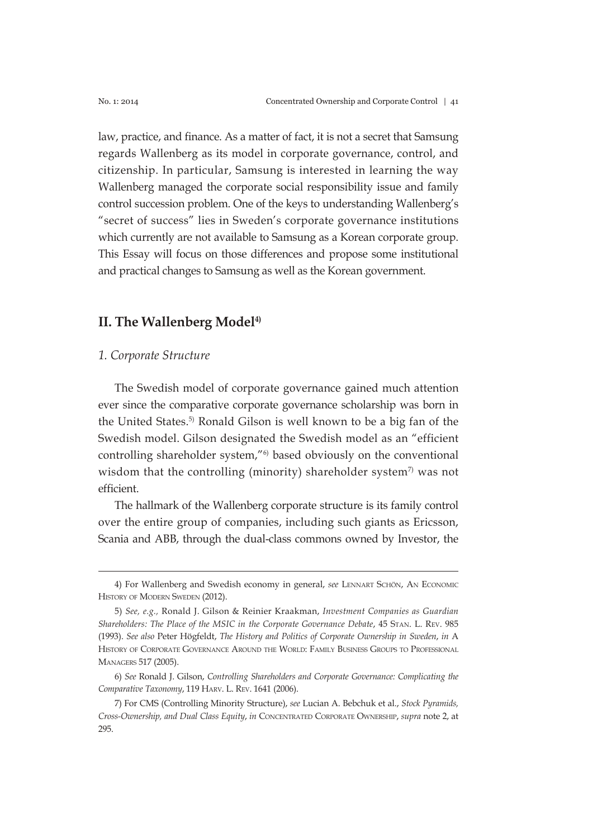law, practice, and finance. As a matter of fact, it is not a secret that Samsung regards Wallenberg as its model in corporate governance, control, and citizenship. In particular, Samsung is interested in learning the way Wallenberg managed the corporate social responsibility issue and family control succession problem. One of the keys to understanding Wallenberg's "secret of success" lies in Sweden's corporate governance institutions which currently are not available to Samsung as a Korean corporate group. This Essay will focus on those differences and propose some institutional and practical changes to Samsung as well as the Korean government.

# **II. The Wallenberg Model4)**

# *1. Corporate Structure*

The Swedish model of corporate governance gained much attention ever since the comparative corporate governance scholarship was born in the United States.5) Ronald Gilson is well known to be a big fan of the Swedish model. Gilson designated the Swedish model as an "efficient controlling shareholder system,"<sup>6)</sup> based obviously on the conventional wisdom that the controlling (minority) shareholder system<sup>7)</sup> was not efficient.

The hallmark of the Wallenberg corporate structure is its family control over the entire group of companies, including such giants as Ericsson, Scania and ABB, through the dual-class commons owned by Investor, the

<sup>4)</sup> For Wallenberg and Swedish economy in general, *see* Lennart Schön, An Economic History of Modern Sweden (2012).

<sup>5)</sup> *See, e.g.,* Ronald J. Gilson & Reinier Kraakman, *Investment Companies as Guardian*  Shareholders: The Place of the MSIC in the Corporate Governance Debate, 45 STAN. L. REV. 985 (1993). *See also* Peter Högfeldt, *The History and Politics of Corporate Ownership in Sweden*, *in* A History of Corporate Governance Around the World: Family Business Groups to Professional Managers 517 (2005).

<sup>6)</sup> *See* Ronald J. Gilson, *Controlling Shareholders and Corporate Governance: Complicating the Comparative Taxonomy*, 119 Harv. L. Rev. 1641 (2006).

<sup>7)</sup> For CMS (Controlling Minority Structure), *see* Lucian A. Bebchuk et al., *Stock Pyramids, Cross-Ownership, and Dual Class Equity*, *in* Concentrated Corporate Ownership, *supra* note 2, at 295.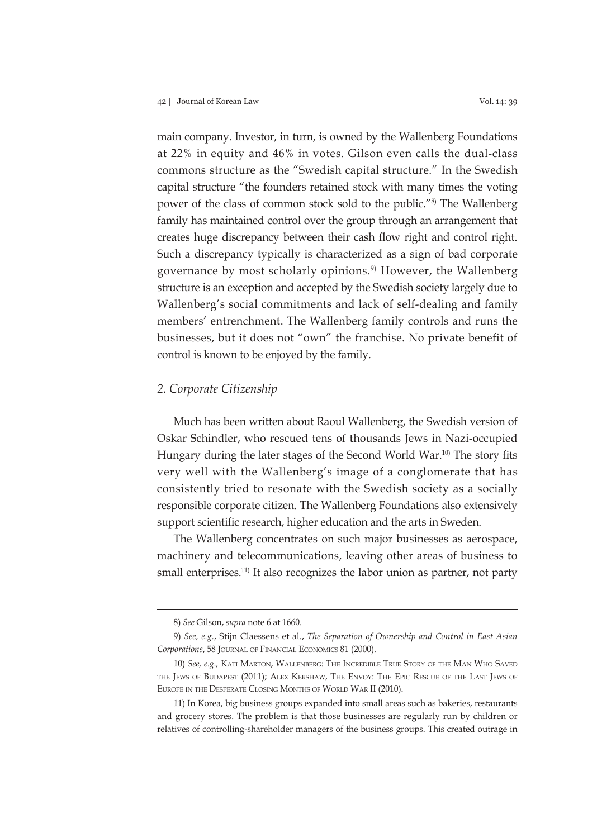main company. Investor, in turn, is owned by the Wallenberg Foundations at 22% in equity and 46% in votes. Gilson even calls the dual-class commons structure as the "Swedish capital structure." In the Swedish capital structure "the founders retained stock with many times the voting power of the class of common stock sold to the public."8) The Wallenberg family has maintained control over the group through an arrangement that creates huge discrepancy between their cash flow right and control right. Such a discrepancy typically is characterized as a sign of bad corporate governance by most scholarly opinions.<sup>9)</sup> However, the Wallenberg structure is an exception and accepted by the Swedish society largely due to Wallenberg's social commitments and lack of self-dealing and family members' entrenchment. The Wallenberg family controls and runs the businesses, but it does not "own" the franchise. No private benefit of control is known to be enjoyed by the family.

## *2. Corporate Citizenship*

Much has been written about Raoul Wallenberg, the Swedish version of Oskar Schindler, who rescued tens of thousands Jews in Nazi-occupied Hungary during the later stages of the Second World War.<sup>10)</sup> The story fits very well with the Wallenberg's image of a conglomerate that has consistently tried to resonate with the Swedish society as a socially responsible corporate citizen. The Wallenberg Foundations also extensively support scientific research, higher education and the arts in Sweden.

The Wallenberg concentrates on such major businesses as aerospace, machinery and telecommunications, leaving other areas of business to small enterprises.<sup>11)</sup> It also recognizes the labor union as partner, not party

<sup>8)</sup> *See* Gilson, *supra* note 6 at 1660.

<sup>9)</sup> *See, e.g.*, Stijn Claessens et al., *The Separation of Ownership and Control in East Asian Corporations*, 58 Journal of Financial Economics 81 (2000).

<sup>10)</sup> *See, e.g.,* Kati Marton, Wallenberg: The Incredible True Story of the Man Who Saved the Jews of Budapest (2011); Alex Kershaw, The Envoy: The Epic Rescue of the Last Jews of Europe in the Desperate Closing Months of World War II (2010).

<sup>11)</sup> In Korea, big business groups expanded into small areas such as bakeries, restaurants and grocery stores. The problem is that those businesses are regularly run by children or relatives of controlling-shareholder managers of the business groups. This created outrage in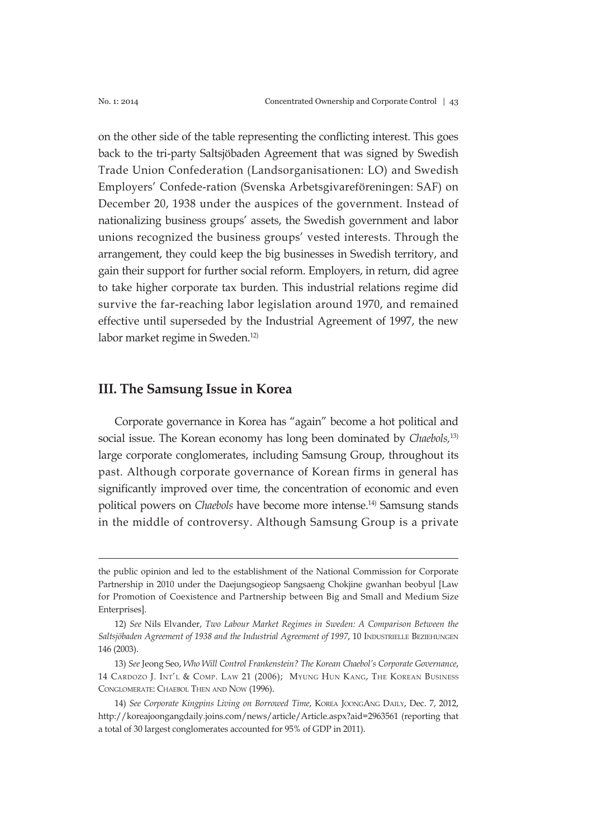on the other side of the table representing the conflicting interest. This goes back to the tri-party Saltsjöbaden Agreement that was signed by Swedish Trade Union Confederation (Landsorganisationen: LO) and Swedish Employers' Confede-ration (Svenska Arbetsgivareföreningen: SAF) on December 20, 1938 under the auspices of the government. Instead of nationalizing business groups' assets, the Swedish government and labor unions recognized the business groups' vested interests. Through the arrangement, they could keep the big businesses in Swedish territory, and gain their support for further social reform. Employers, in return, did agree to take higher corporate tax burden. This industrial relations regime did survive the far-reaching labor legislation around 1970, and remained effective until superseded by the Industrial Agreement of 1997, the new labor market regime in Sweden.<sup>12)</sup>

## **III. The Samsung Issue in Korea**

Corporate governance in Korea has "again" become a hot political and social issue. The Korean economy has long been dominated by *Chaebols,*13) large corporate conglomerates, including Samsung Group, throughout its past. Although corporate governance of Korean firms in general has significantly improved over time, the concentration of economic and even political powers on *Chaebols* have become more intense.<sup>14)</sup> Samsung stands in the middle of controversy. Although Samsung Group is a private

the public opinion and led to the establishment of the National Commission for Corporate Partnership in 2010 under the Daejungsogieop Sangsaeng Chokjine gwanhan beobyul [Law for Promotion of Coexistence and Partnership between Big and Small and Medium Size Enterprises].

<sup>12)</sup> *See* Nils Elvander, *Two Labour Market Regimes in Sweden: A Comparison Between the*  Saltsjöbaden Agreement of 1938 and the Industrial Agreement of 1997, 10 INDUSTRIELLE BEZIEHUNGEN 146 (2003).

<sup>13)</sup> *See* Jeong Seo, *Who Will Control Frankenstein? The Korean Chaebol's Corporate Governance*, 14 Cardozo J. Int'l & Comp. Law 21 (2006); Myung Hun Kang, The Korean Business Conglomerate: Chaebol Then and Now (1996).

<sup>14)</sup> *See Corporate Kingpins Living on Borrowed Time*, Korea JoongAng Daily, Dec. 7, 2012, http://koreajoongangdaily.joins.com/news/article/Article.aspx?aid=2963561 (reporting that a total of 30 largest conglomerates accounted for 95% of GDP in 2011).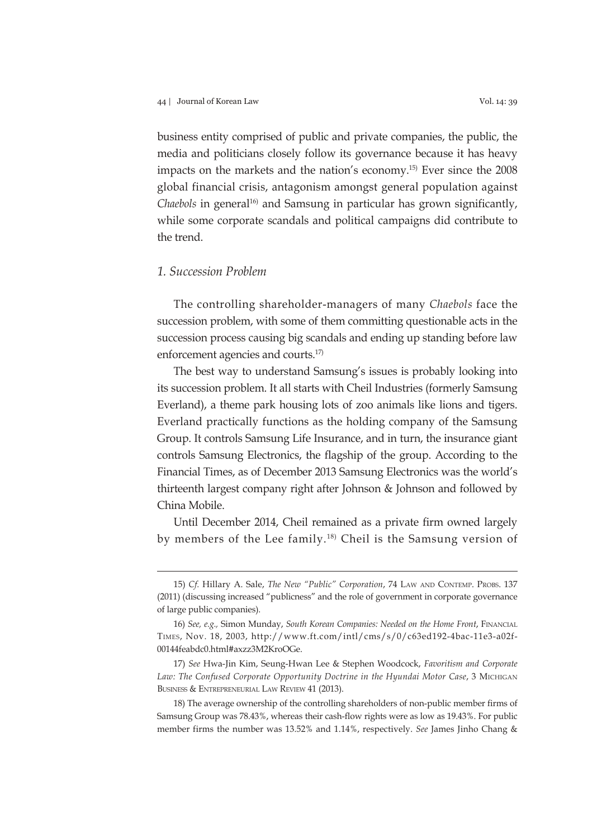business entity comprised of public and private companies, the public, the media and politicians closely follow its governance because it has heavy impacts on the markets and the nation's economy.15) Ever since the 2008 global financial crisis, antagonism amongst general population against *Chaebols* in general<sup>16)</sup> and Samsung in particular has grown significantly, while some corporate scandals and political campaigns did contribute to the trend.

#### *1. Succession Problem*

The controlling shareholder-managers of many *Chaebols* face the succession problem, with some of them committing questionable acts in the succession process causing big scandals and ending up standing before law enforcement agencies and courts.17)

The best way to understand Samsung's issues is probably looking into its succession problem. It all starts with Cheil Industries (formerly Samsung Everland), a theme park housing lots of zoo animals like lions and tigers. Everland practically functions as the holding company of the Samsung Group. It controls Samsung Life Insurance, and in turn, the insurance giant controls Samsung Electronics, the flagship of the group. According to the Financial Times, as of December 2013 Samsung Electronics was the world's thirteenth largest company right after Johnson & Johnson and followed by China Mobile.

Until December 2014, Cheil remained as a private firm owned largely by members of the Lee family.<sup>18)</sup> Cheil is the Samsung version of

<sup>15)</sup> *Cf.* Hillary A. Sale, *The New "Public" Corporation*, 74 LAW AND CONTEMP. PROBS. 137 (2011) (discussing increased "publicness" and the role of government in corporate governance of large public companies).

<sup>16)</sup> *See, e.g.,* Simon Munday, *South Korean Companies: Needed on the Home Front*, Financial Times, Nov. 18, 2003, http://www.ft.com/intl/cms/s/0/c63ed192-4bac-11e3-a02f-00144feabdc0.html#axzz3M2KroOGe.

<sup>17)</sup> *See* Hwa-Jin Kim, Seung-Hwan Lee & Stephen Woodcock, *Favoritism and Corporate*  Law: The Confused Corporate Opportunity Doctrine in the Hyundai Motor Case, 3 MICHIGAN Business & Entrepreneurial Law Review 41 (2013).

<sup>18)</sup> The average ownership of the controlling shareholders of non-public member firms of Samsung Group was 78.43%, whereas their cash-flow rights were as low as 19.43%. For public member firms the number was 13.52% and 1.14%, respectively. *See* James Jinho Chang &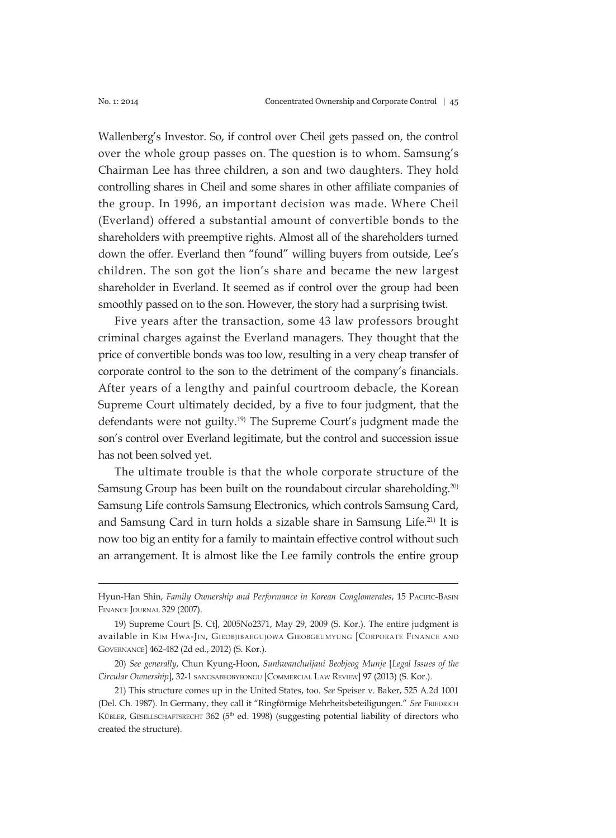Wallenberg's Investor. So, if control over Cheil gets passed on, the control over the whole group passes on. The question is to whom. Samsung's Chairman Lee has three children, a son and two daughters. They hold controlling shares in Cheil and some shares in other affiliate companies of the group. In 1996, an important decision was made. Where Cheil (Everland) offered a substantial amount of convertible bonds to the shareholders with preemptive rights. Almost all of the shareholders turned down the offer. Everland then "found" willing buyers from outside, Lee's children. The son got the lion's share and became the new largest shareholder in Everland. It seemed as if control over the group had been smoothly passed on to the son. However, the story had a surprising twist.

Five years after the transaction, some 43 law professors brought criminal charges against the Everland managers. They thought that the price of convertible bonds was too low, resulting in a very cheap transfer of corporate control to the son to the detriment of the company's financials. After years of a lengthy and painful courtroom debacle, the Korean Supreme Court ultimately decided, by a five to four judgment, that the defendants were not guilty.<sup>19)</sup> The Supreme Court's judgment made the son's control over Everland legitimate, but the control and succession issue has not been solved yet.

The ultimate trouble is that the whole corporate structure of the Samsung Group has been built on the roundabout circular shareholding.<sup>20)</sup> Samsung Life controls Samsung Electronics, which controls Samsung Card, and Samsung Card in turn holds a sizable share in Samsung Life.21) It is now too big an entity for a family to maintain effective control without such an arrangement. It is almost like the Lee family controls the entire group

Hyun-Han Shin, *Family Ownership and Performance in Korean Conglomerates*, 15 PACIFIC-BASIN Finance Journal 329 (2007).

<sup>19)</sup> Supreme Court [S. Ct], 2005No2371, May 29, 2009 (S. Kor.). The entire judgment is available in Kim Hwa-Jin, Gieobjibaegujowa Gieobgeumyung [Corporate Finance and Governance] 462-482 (2d ed., 2012) (S. Kor.).

<sup>20)</sup> *See generally*, Chun Kyung-Hoon, *Sunhwanchuljaui Beobjeog Munje* [*Legal Issues of the Circular Ownership*], 32-1 sangsabeobyeongu [Commercial Law Review] 97 (2013) (S. Kor.).

<sup>21)</sup> This structure comes up in the United States, too. *See* Speiser v. Baker, 525 A.2d 1001 (Del. Ch. 1987). In Germany, they call it "Ringförmige Mehrheitsbeteiligungen." See FRIEDRICH KÜBLER, GESELLSCHAFTSRECHT 362 (5<sup>th</sup> ed. 1998) (suggesting potential liability of directors who created the structure).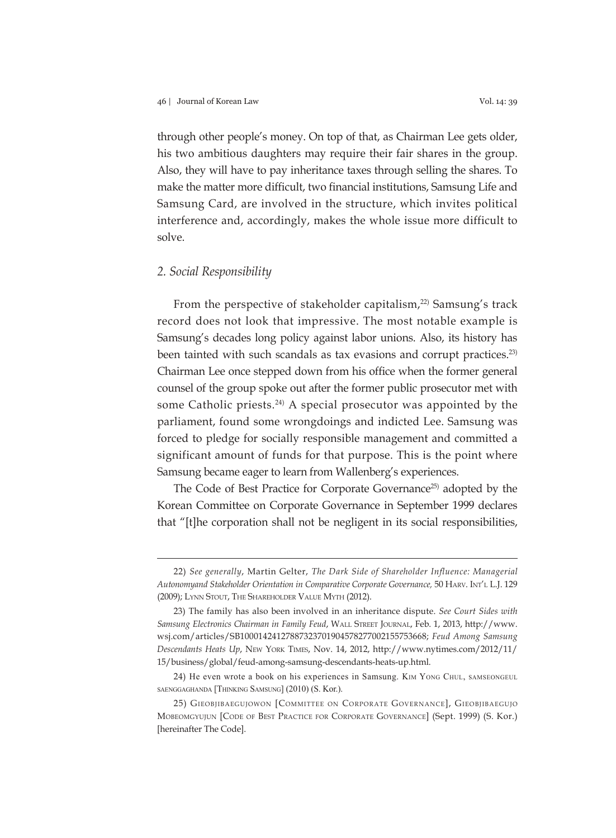through other people's money. On top of that, as Chairman Lee gets older, his two ambitious daughters may require their fair shares in the group. Also, they will have to pay inheritance taxes through selling the shares. To make the matter more difficult, two financial institutions, Samsung Life and Samsung Card, are involved in the structure, which invites political interference and, accordingly, makes the whole issue more difficult to solve.

#### *2. Social Responsibility*

From the perspective of stakeholder capitalism,<sup>22)</sup> Samsung's track record does not look that impressive. The most notable example is Samsung's decades long policy against labor unions. Also, its history has been tainted with such scandals as tax evasions and corrupt practices.<sup>23)</sup> Chairman Lee once stepped down from his office when the former general counsel of the group spoke out after the former public prosecutor met with some Catholic priests.<sup>24)</sup> A special prosecutor was appointed by the parliament, found some wrongdoings and indicted Lee. Samsung was forced to pledge for socially responsible management and committed a significant amount of funds for that purpose. This is the point where Samsung became eager to learn from Wallenberg's experiences.

The Code of Best Practice for Corporate Governance<sup>25)</sup> adopted by the Korean Committee on Corporate Governance in September 1999 declares that "[t]he corporation shall not be negligent in its social responsibilities,

<sup>22)</sup> *See generally*, Martin Gelter, *The Dark Side of Shareholder Influence: Managerial Autonomyand Stakeholder Orientation in Comparative Corporate Governance,* 50 Harv. Int'l L.J. 129 (2009); Lynn Stout, The Shareholder Value Myth (2012).

<sup>23)</sup> The family has also been involved in an inheritance dispute. *See Court Sides with Samsung Electronics Chairman in Family Feud*, Wall Street Journal, Feb. 1, 2013, http://www. wsj.com/articles/SB10001424127887323701904578277002155753668; *Feud Among Samsung Descendants Heats Up*, New York Times, Nov. 14, 2012, http://www.nytimes.com/2012/11/ 15/business/global/feud-among-samsung-descendants-heats-up.html.

<sup>24)</sup> He even wrote a book on his experiences in Samsung. Kim Yong Chul, samseongeul saenggaghanda [Thinking Samsung] (2010) (S. Kor.).

<sup>25)</sup> Gieobjibaegujowon [Committee on Corporate Governance], Gieobjibaegujo Mobeomgyujun [Code of Best Practice for Corporate Governance] (Sept. 1999) (S. Kor.) [hereinafter The Code].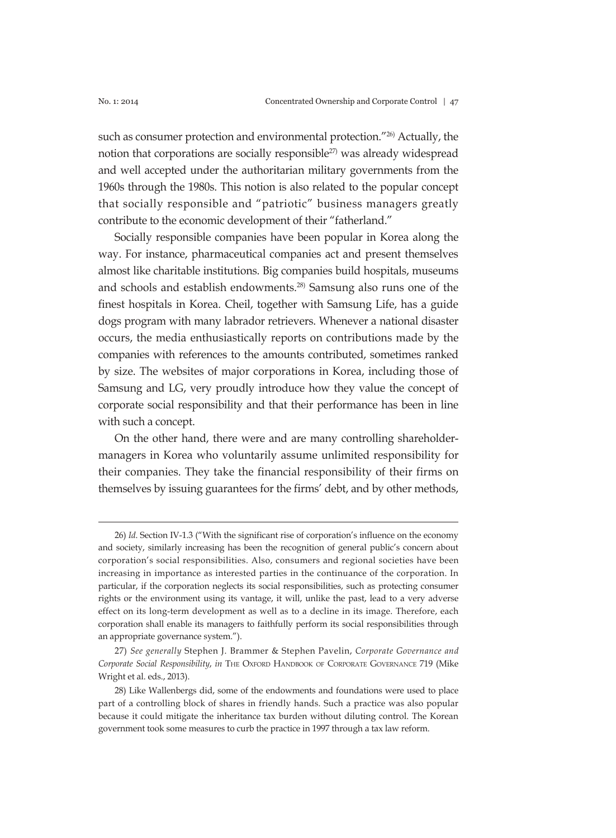such as consumer protection and environmental protection."<sup>26)</sup> Actually, the notion that corporations are socially responsible<sup>27)</sup> was already widespread and well accepted under the authoritarian military governments from the 1960s through the 1980s. This notion is also related to the popular concept that socially responsible and "patriotic" business managers greatly contribute to the economic development of their "fatherland."

Socially responsible companies have been popular in Korea along the way. For instance, pharmaceutical companies act and present themselves almost like charitable institutions. Big companies build hospitals, museums and schools and establish endowments.<sup>28)</sup> Samsung also runs one of the finest hospitals in Korea. Cheil, together with Samsung Life, has a guide dogs program with many labrador retrievers. Whenever a national disaster occurs, the media enthusiastically reports on contributions made by the companies with references to the amounts contributed, sometimes ranked by size. The websites of major corporations in Korea, including those of Samsung and LG, very proudly introduce how they value the concept of corporate social responsibility and that their performance has been in line with such a concept.

On the other hand, there were and are many controlling shareholdermanagers in Korea who voluntarily assume unlimited responsibility for their companies. They take the financial responsibility of their firms on themselves by issuing guarantees for the firms' debt, and by other methods,

<sup>26)</sup> *Id*. Section IV-1.3 ("With the significant rise of corporation's influence on the economy and society, similarly increasing has been the recognition of general public's concern about corporation's social responsibilities. Also, consumers and regional societies have been increasing in importance as interested parties in the continuance of the corporation. In particular, if the corporation neglects its social responsibilities, such as protecting consumer rights or the environment using its vantage, it will, unlike the past, lead to a very adverse effect on its long-term development as well as to a decline in its image. Therefore, each corporation shall enable its managers to faithfully perform its social responsibilities through an appropriate governance system.").

<sup>27)</sup> *See generally* Stephen J. Brammer & Stephen Pavelin, *Corporate Governance and Corporate Social Responsibility*, *in* The Oxford Handbook of Corporate Governance 719 (Mike Wright et al. eds., 2013).

<sup>28)</sup> Like Wallenbergs did, some of the endowments and foundations were used to place part of a controlling block of shares in friendly hands. Such a practice was also popular because it could mitigate the inheritance tax burden without diluting control. The Korean government took some measures to curb the practice in 1997 through a tax law reform.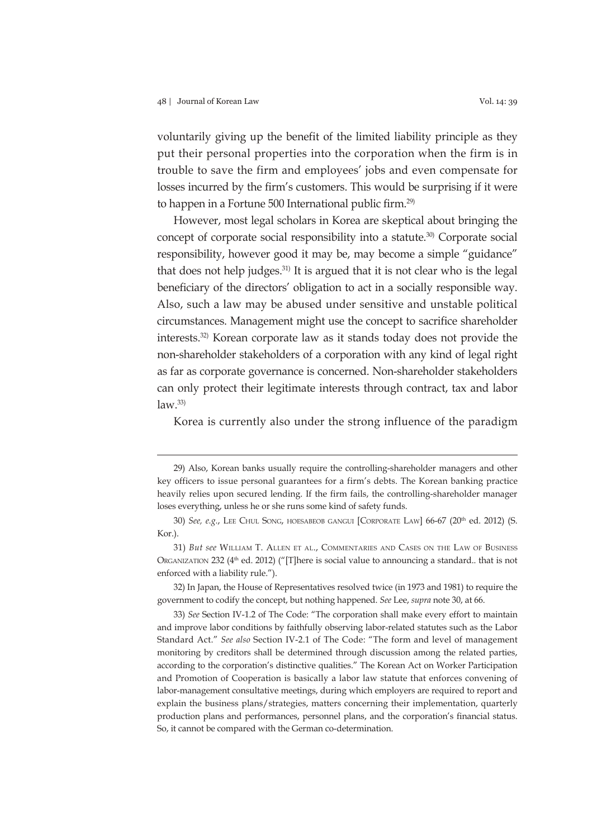voluntarily giving up the benefit of the limited liability principle as they put their personal properties into the corporation when the firm is in trouble to save the firm and employees' jobs and even compensate for losses incurred by the firm's customers. This would be surprising if it were to happen in a Fortune 500 International public firm.29)

However, most legal scholars in Korea are skeptical about bringing the concept of corporate social responsibility into a statute.<sup>30)</sup> Corporate social responsibility, however good it may be, may become a simple "guidance" that does not help judges.<sup>31)</sup> It is argued that it is not clear who is the legal beneficiary of the directors' obligation to act in a socially responsible way. Also, such a law may be abused under sensitive and unstable political circumstances. Management might use the concept to sacrifice shareholder interests.32) Korean corporate law as it stands today does not provide the non-shareholder stakeholders of a corporation with any kind of legal right as far as corporate governance is concerned. Non-shareholder stakeholders can only protect their legitimate interests through contract, tax and labor  $law<sup>33</sup>$ 

Korea is currently also under the strong influence of the paradigm

32) In Japan, the House of Representatives resolved twice (in 1973 and 1981) to require the government to codify the concept, but nothing happened. *See* Lee, *supra* note 30, at 66.

33) *See* Section IV-1.2 of The Code: "The corporation shall make every effort to maintain and improve labor conditions by faithfully observing labor-related statutes such as the Labor Standard Act." *See also* Section IV-2.1 of The Code: "The form and level of management monitoring by creditors shall be determined through discussion among the related parties, according to the corporation's distinctive qualities." The Korean Act on Worker Participation and Promotion of Cooperation is basically a labor law statute that enforces convening of labor-management consultative meetings, during which employers are required to report and explain the business plans/strategies, matters concerning their implementation, quarterly production plans and performances, personnel plans, and the corporation's financial status. So, it cannot be compared with the German co-determination.

<sup>29)</sup> Also, Korean banks usually require the controlling-shareholder managers and other key officers to issue personal guarantees for a firm's debts. The Korean banking practice heavily relies upon secured lending. If the firm fails, the controlling-shareholder manager loses everything, unless he or she runs some kind of safety funds.

<sup>30)</sup> See, e.g., LEE CHUL SONG, HOESABEOB GANGUI [CORPORATE LAW] 66-67 (20<sup>th</sup> ed. 2012) (S. Kor.).

<sup>31)</sup> *But see* William T. Allen et al., Commentaries and Cases on the Law of Business ORGANIZATION 232 (4<sup>th</sup> ed. 2012) ("[T]here is social value to announcing a standard.. that is not enforced with a liability rule.").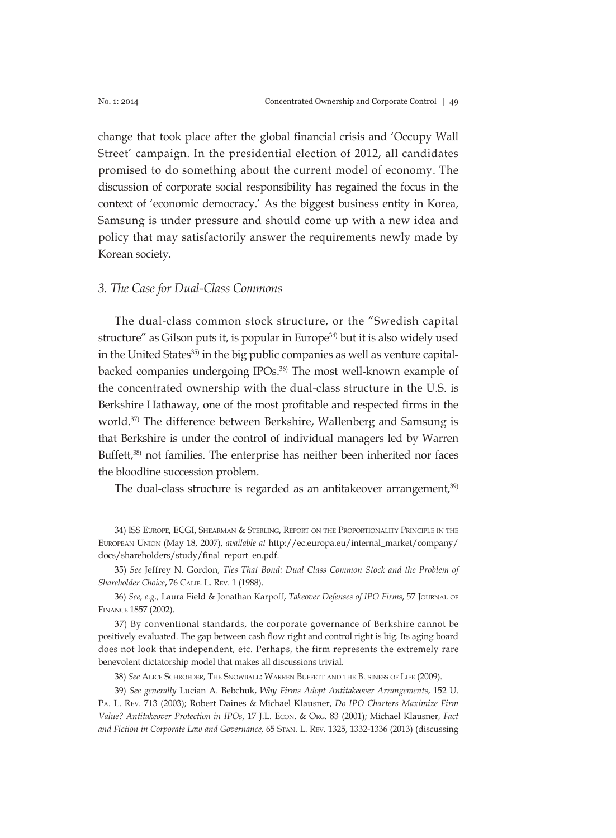change that took place after the global financial crisis and 'Occupy Wall Street' campaign. In the presidential election of 2012, all candidates promised to do something about the current model of economy. The discussion of corporate social responsibility has regained the focus in the context of 'economic democracy.' As the biggest business entity in Korea, Samsung is under pressure and should come up with a new idea and policy that may satisfactorily answer the requirements newly made by Korean society.

#### *3. The Case for Dual-Class Commons*

The dual-class common stock structure, or the "Swedish capital structure" as Gilson puts it, is popular in Europe<sup>34)</sup> but it is also widely used in the United States<sup>35)</sup> in the big public companies as well as venture capitalbacked companies undergoing IPOs.<sup>36)</sup> The most well-known example of the concentrated ownership with the dual-class structure in the U.S. is Berkshire Hathaway, one of the most profitable and respected firms in the world.<sup>37)</sup> The difference between Berkshire, Wallenberg and Samsung is that Berkshire is under the control of individual managers led by Warren Buffett,<sup>38)</sup> not families. The enterprise has neither been inherited nor faces the bloodline succession problem.

The dual-class structure is regarded as an antitakeover arrangement,<sup>39)</sup>

37) By conventional standards, the corporate governance of Berkshire cannot be positively evaluated. The gap between cash flow right and control right is big. Its aging board does not look that independent, etc. Perhaps, the firm represents the extremely rare benevolent dictatorship model that makes all discussions trivial.

38) *See* Alice Schroeder, The Snowball: Warren Buffett and the Business of Life (2009).

39) *See generally* Lucian A. Bebchuk, *Why Firms Adopt Antitakeover Arrangements*, 152 U. Pa. L. Rev. 713 (2003); Robert Daines & Michael Klausner, *Do IPO Charters Maximize Firm Value? Antitakeover Protection in IPOs*, 17 J.L. Econ. & Org. 83 (2001); Michael Klausner, *Fact and Fiction in Corporate Law and Governance,* 65 Stan. L. Rev. 1325, 1332-1336 (2013) (discussing

<sup>34)</sup> ISS Europe, ECGI, Shearman & Sterling, Report on the Proportionality Principle in the European Union (May 18, 2007), *available at* http://ec.europa.eu/internal\_market/company/ docs/shareholders/study/final\_report\_en.pdf.

<sup>35)</sup> *See* Jeffrey N. Gordon, *Ties That Bond: Dual Class Common Stock and the Problem of Shareholder Choice*, 76 Calif. L. Rev. 1 (1988).

<sup>36)</sup> *See, e.g.,* Laura Field & Jonathan Karpoff, *Takeover Defenses of IPO Firms*, 57 Journal of Finance 1857 (2002).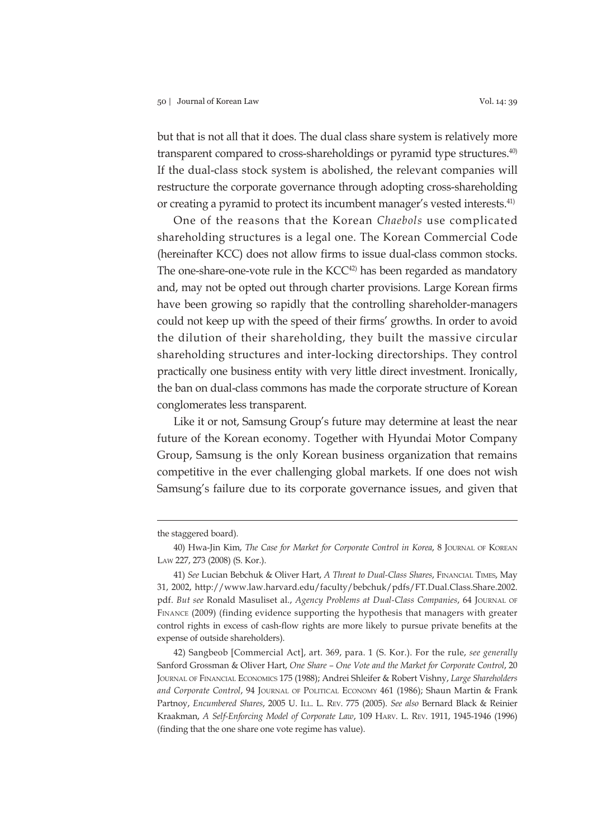but that is not all that it does. The dual class share system is relatively more transparent compared to cross-shareholdings or pyramid type structures.<sup>40)</sup> If the dual-class stock system is abolished, the relevant companies will restructure the corporate governance through adopting cross-shareholding or creating a pyramid to protect its incumbent manager's vested interests.<sup>41)</sup>

One of the reasons that the Korean *Chaebols* use complicated shareholding structures is a legal one. The Korean Commercial Code (hereinafter KCC) does not allow firms to issue dual-class common stocks. The one-share-one-vote rule in the  $KCC<sup>42</sup>$  has been regarded as mandatory and, may not be opted out through charter provisions. Large Korean firms have been growing so rapidly that the controlling shareholder-managers could not keep up with the speed of their firms' growths. In order to avoid the dilution of their shareholding, they built the massive circular shareholding structures and inter-locking directorships. They control practically one business entity with very little direct investment. Ironically, the ban on dual-class commons has made the corporate structure of Korean conglomerates less transparent.

Like it or not, Samsung Group's future may determine at least the near future of the Korean economy. Together with Hyundai Motor Company Group, Samsung is the only Korean business organization that remains competitive in the ever challenging global markets. If one does not wish Samsung's failure due to its corporate governance issues, and given that

the staggered board)*.*

<sup>40)</sup> Hwa-Jin Kim, *The Case for Market for Corporate Control in Korea*, 8 JOURNAL OF KOREAN Law 227, 273 (2008) (S. Kor.).

<sup>41)</sup> *See* Lucian Bebchuk & Oliver Hart, *A Threat to Dual-Class Shares*, Financial Times, May 31, 2002, http://www.law.harvard.edu/faculty/bebchuk/pdfs/FT.Dual.Class.Share.2002. pdf. *But see* Ronald Masuliset al., *Agency Problems at Dual-Class Companies*, 64 Journal of Finance (2009) (finding evidence supporting the hypothesis that managers with greater control rights in excess of cash-flow rights are more likely to pursue private benefits at the expense of outside shareholders).

<sup>42)</sup> Sangbeob [Commercial Act], art. 369, para. 1 (S. Kor.). For the rule, *see generally*  Sanford Grossman & Oliver Hart, *One Share – One Vote and the Market for Corporate Control*, 20 Journal of Financial Economics 175 (1988); Andrei Shleifer & Robert Vishny, *Large Shareholders and Corporate Control*, 94 Journal of Political Economy 461 (1986); Shaun Martin & Frank Partnoy, *Encumbered Shares*, 2005 U. I.L. L. Rev. 775 (2005). *See also Bernard Black & Reinier* Kraakman, *A Self-Enforcing Model of Corporate Law*, 109 Harv. L. Rev. 1911, 1945-1946 (1996) (finding that the one share one vote regime has value).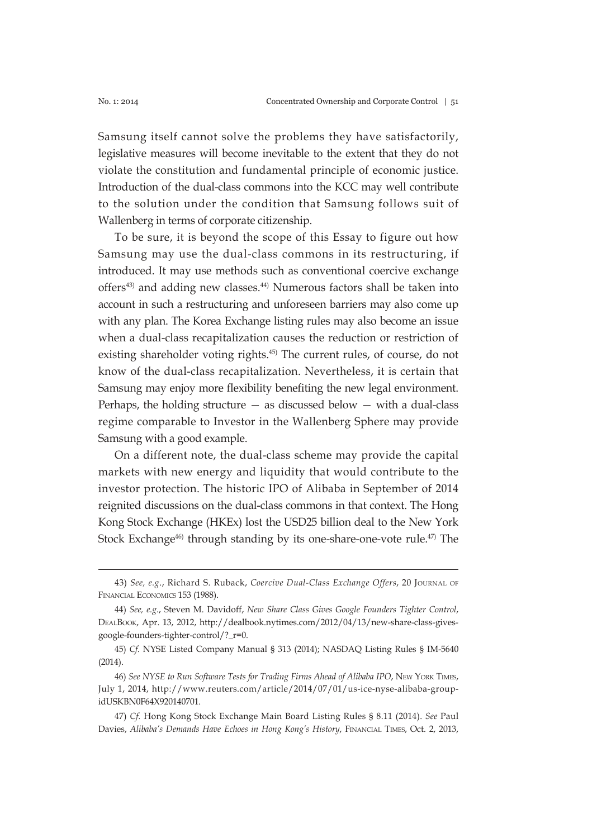Samsung itself cannot solve the problems they have satisfactorily, legislative measures will become inevitable to the extent that they do not violate the constitution and fundamental principle of economic justice. Introduction of the dual-class commons into the KCC may well contribute to the solution under the condition that Samsung follows suit of Wallenberg in terms of corporate citizenship.

To be sure, it is beyond the scope of this Essay to figure out how Samsung may use the dual-class commons in its restructuring, if introduced. It may use methods such as conventional coercive exchange offers<sup>43)</sup> and adding new classes.<sup>44)</sup> Numerous factors shall be taken into account in such a restructuring and unforeseen barriers may also come up with any plan. The Korea Exchange listing rules may also become an issue when a dual-class recapitalization causes the reduction or restriction of existing shareholder voting rights.<sup>45)</sup> The current rules, of course, do not know of the dual-class recapitalization. Nevertheless, it is certain that Samsung may enjoy more flexibility benefiting the new legal environment. Perhaps, the holding structure  $-$  as discussed below  $-$  with a dual-class regime comparable to Investor in the Wallenberg Sphere may provide Samsung with a good example.

On a different note, the dual-class scheme may provide the capital markets with new energy and liquidity that would contribute to the investor protection. The historic IPO of Alibaba in September of 2014 reignited discussions on the dual-class commons in that context. The Hong Kong Stock Exchange (HKEx) lost the USD25 billion deal to the New York Stock Exchange<sup>46)</sup> through standing by its one-share-one-vote rule.<sup>47)</sup> The

<sup>43)</sup> *See, e.g*., Richard S. Ruback, *Coercive Dual-Class Exchange Offers*, 20 Journal of Financial Economics 153 (1988).

<sup>44)</sup> *See, e.g.*, Steven M. Davidoff, *New Share Class Gives Google Founders Tighter Control*, DealBook, Apr. 13, 2012, http://dealbook.nytimes.com/2012/04/13/new-share-class-givesgoogle-founders-tighter-control/?\_r=0.

<sup>45)</sup> *Cf.* NYSE Listed Company Manual § 313 (2014); NASDAQ Listing Rules § IM-5640 (2014).

<sup>46)</sup> *See NYSE to Run Software Tests for Trading Firms Ahead of Alibaba IPO*, New York Times, July 1, 2014, http://www.reuters.com/article/2014/07/01/us-ice-nyse-alibaba-groupidUSKBN0F64X920140701.

<sup>47)</sup> *Cf.* Hong Kong Stock Exchange Main Board Listing Rules § 8.11 (2014). *See* Paul Davies, *Alibaba's Demands Have Echoes in Hong Kong's History*, Financial Times, Oct. 2, 2013,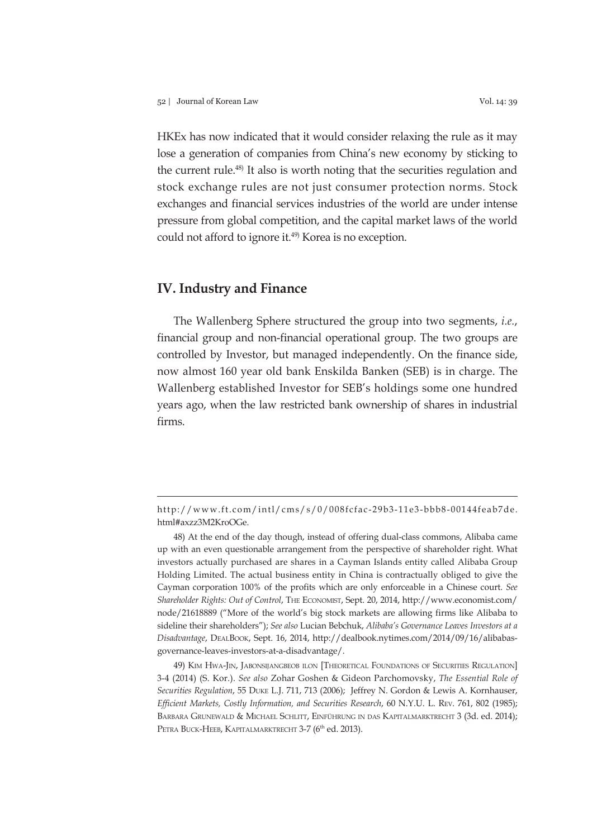HKEx has now indicated that it would consider relaxing the rule as it may lose a generation of companies from China's new economy by sticking to the current rule.48) It also is worth noting that the securities regulation and stock exchange rules are not just consumer protection norms. Stock exchanges and financial services industries of the world are under intense pressure from global competition, and the capital market laws of the world could not afford to ignore it.<sup>49)</sup> Korea is no exception.

# **IV. Industry and Finance**

The Wallenberg Sphere structured the group into two segments, *i.e.*, financial group and non-financial operational group. The two groups are controlled by Investor, but managed independently. On the finance side, now almost 160 year old bank Enskilda Banken (SEB) is in charge. The Wallenberg established Investor for SEB's holdings some one hundred years ago, when the law restricted bank ownership of shares in industrial firms.

http://www.ft.com/intl/cms/s/0/008fcfac-29b3-11e3-bbb8-00144feab7de. html#axzz3M2KroOGe.

<sup>48)</sup> At the end of the day though, instead of offering dual-class commons, Alibaba came up with an even questionable arrangement from the perspective of shareholder right. What investors actually purchased are shares in a Cayman Islands entity called Alibaba Group Holding Limited. The actual business entity in China is contractually obliged to give the Cayman corporation 100% of the profits which are only enforceable in a Chinese court. *See Shareholder Rights: Out of Control*, The Economist, Sept. 20, 2014, http://www.economist.com/ node/21618889 ("More of the world's big stock markets are allowing firms like Alibaba to sideline their shareholders"); *See also* Lucian Bebchuk, *Alibaba's Governance Leaves Investors at a Disadvantage*, DealBook, Sept. 16, 2014, http://dealbook.nytimes.com/2014/09/16/alibabasgovernance-leaves-investors-at-a-disadvantage/.

<sup>49)</sup> Kim Hwa-Jin, Jabonsijangbeob ilon [Theoretical Foundations of Securities Regulation] 3-4 (2014) (S. Kor.). *See also* Zohar Goshen & Gideon Parchomovsky, *The Essential Role of Securities Regulation*, 55 Duke L.J. 711, 713 (2006); Jeffrey N. Gordon & Lewis A. Kornhauser, *Efficient Markets, Costly Information, and Securities Research*, 60 N.Y.U. L. Rev. 761, 802 (1985); BARBARA GRUNEWALD & MICHAEL SCHLITT, EINFÜHRUNG IN DAS KAPITALMARKTRECHT 3 (3d. ed. 2014); PETRA BUCK-HEEB, KAPITALMARKTRECHT 3-7 (6<sup>th</sup> ed. 2013).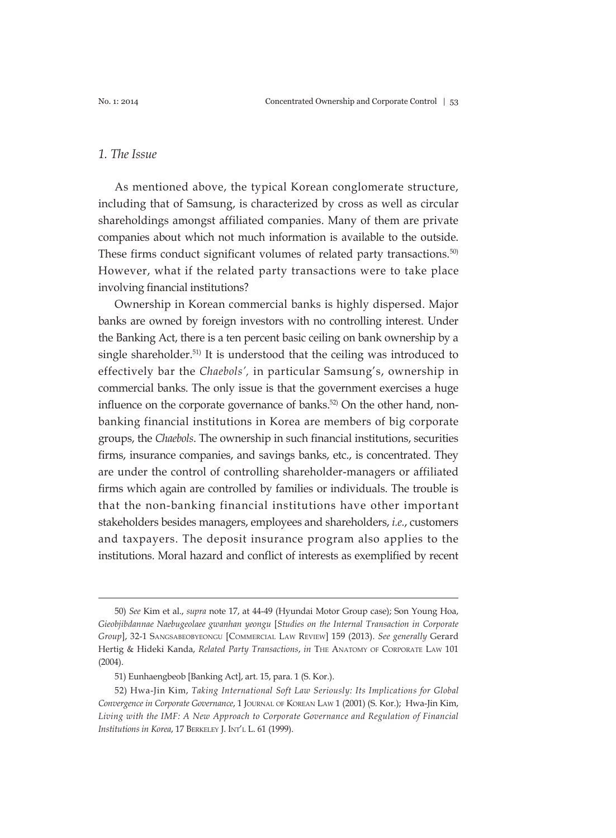### *1. The Issue*

As mentioned above, the typical Korean conglomerate structure, including that of Samsung, is characterized by cross as well as circular shareholdings amongst affiliated companies. Many of them are private companies about which not much information is available to the outside. These firms conduct significant volumes of related party transactions.<sup>50)</sup> However, what if the related party transactions were to take place involving financial institutions?

Ownership in Korean commercial banks is highly dispersed. Major banks are owned by foreign investors with no controlling interest. Under the Banking Act, there is a ten percent basic ceiling on bank ownership by a single shareholder.<sup>51)</sup> It is understood that the ceiling was introduced to effectively bar the *Chaebols',* in particular Samsung's, ownership in commercial banks. The only issue is that the government exercises a huge influence on the corporate governance of banks.<sup>52)</sup> On the other hand, nonbanking financial institutions in Korea are members of big corporate groups, the *Chaebols*. The ownership in such financial institutions, securities firms, insurance companies, and savings banks, etc., is concentrated. They are under the control of controlling shareholder-managers or affiliated firms which again are controlled by families or individuals. The trouble is that the non-banking financial institutions have other important stakeholders besides managers, employees and shareholders, *i.e.*, customers and taxpayers. The deposit insurance program also applies to the institutions. Moral hazard and conflict of interests as exemplified by recent

<sup>50)</sup> *See* Kim et al., *supra* note 17, at 44-49 (Hyundai Motor Group case); Son Young Hoa, *Gieobjibdannae Naebugeolaee gwanhan yeongu* [*Studies on the Internal Transaction in Corporate Group*], 32-1 Sangsabeobyeongu [Commercial Law Review] 159 (2013). *See generally* Gerard Hertig & Hideki Kanda, *Related Party Transactions*, *in* The Anatomy of Corporate Law 101 (2004).

<sup>51)</sup> Eunhaengbeob [Banking Act], art. 15, para. 1 (S. Kor.).

<sup>52)</sup> Hwa-Jin Kim, *Taking International Soft Law Seriously: Its Implications for Global Convergence in Corporate Governance*, 1 Journal of Korean Law 1 (2001) (S. Kor.); Hwa-Jin Kim, *Living with the IMF: A New Approach to Corporate Governance and Regulation of Financial Institutions in Korea*, 17 Berkeley J. Int'l L. 61 (1999).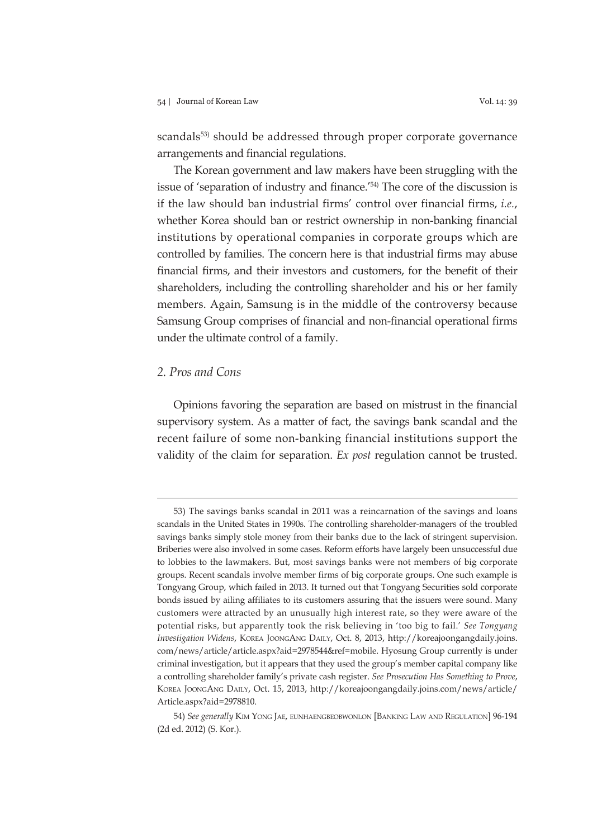scandals<sup>53)</sup> should be addressed through proper corporate governance arrangements and financial regulations.

The Korean government and law makers have been struggling with the issue of 'separation of industry and finance.'54) The core of the discussion is if the law should ban industrial firms' control over financial firms, *i.e.*, whether Korea should ban or restrict ownership in non-banking financial institutions by operational companies in corporate groups which are controlled by families. The concern here is that industrial firms may abuse financial firms, and their investors and customers, for the benefit of their shareholders, including the controlling shareholder and his or her family members. Again, Samsung is in the middle of the controversy because Samsung Group comprises of financial and non-financial operational firms under the ultimate control of a family.

#### *2. Pros and Cons*

Opinions favoring the separation are based on mistrust in the financial supervisory system. As a matter of fact, the savings bank scandal and the recent failure of some non-banking financial institutions support the validity of the claim for separation. *Ex post* regulation cannot be trusted.

<sup>53)</sup> The savings banks scandal in 2011 was a reincarnation of the savings and loans scandals in the United States in 1990s. The controlling shareholder-managers of the troubled savings banks simply stole money from their banks due to the lack of stringent supervision. Briberies were also involved in some cases. Reform efforts have largely been unsuccessful due to lobbies to the lawmakers. But, most savings banks were not members of big corporate groups. Recent scandals involve member firms of big corporate groups. One such example is Tongyang Group, which failed in 2013. It turned out that Tongyang Securities sold corporate bonds issued by ailing affiliates to its customers assuring that the issuers were sound. Many customers were attracted by an unusually high interest rate, so they were aware of the potential risks, but apparently took the risk believing in 'too big to fail.' *See Tongyang Investigation Widens*, Korea JoongAng Daily, Oct. 8, 2013, http://koreajoongangdaily.joins. com/news/article/article.aspx?aid=2978544&ref=mobile. Hyosung Group currently is under criminal investigation, but it appears that they used the group's member capital company like a controlling shareholder family's private cash register. *See Prosecution Has Something to Prove*, Korea JoongAng Daily, Oct. 15, 2013, http://koreajoongangdaily.joins.com/news/article/ Article.aspx?aid=2978810.

<sup>54)</sup> *See generally* Kim Yong Jae, eunhaengbeobwonlon [Banking Law and Regulation] 96-194 (2d ed. 2012) (S. Kor.).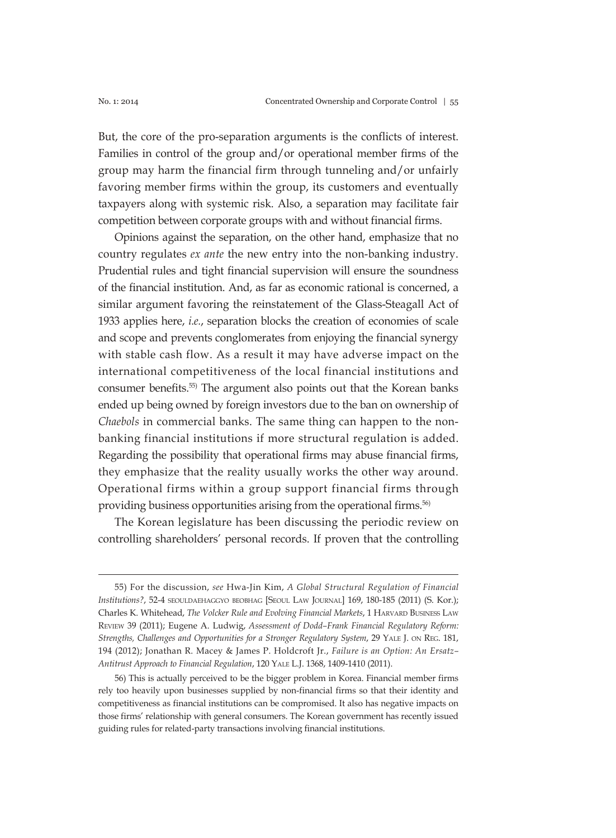But, the core of the pro-separation arguments is the conflicts of interest. Families in control of the group and/or operational member firms of the group may harm the financial firm through tunneling and/or unfairly favoring member firms within the group, its customers and eventually taxpayers along with systemic risk. Also, a separation may facilitate fair competition between corporate groups with and without financial firms.

Opinions against the separation, on the other hand, emphasize that no country regulates *ex ante* the new entry into the non-banking industry. Prudential rules and tight financial supervision will ensure the soundness of the financial institution. And, as far as economic rational is concerned, a similar argument favoring the reinstatement of the Glass-Steagall Act of 1933 applies here, *i.e.*, separation blocks the creation of economies of scale and scope and prevents conglomerates from enjoying the financial synergy with stable cash flow. As a result it may have adverse impact on the international competitiveness of the local financial institutions and consumer benefits.55) The argument also points out that the Korean banks ended up being owned by foreign investors due to the ban on ownership of *Chaebols* in commercial banks. The same thing can happen to the nonbanking financial institutions if more structural regulation is added. Regarding the possibility that operational firms may abuse financial firms, they emphasize that the reality usually works the other way around. Operational firms within a group support financial firms through providing business opportunities arising from the operational firms.<sup>56)</sup>

The Korean legislature has been discussing the periodic review on controlling shareholders' personal records. If proven that the controlling

<sup>55)</sup> For the discussion, *see* Hwa-Jin Kim, *A Global Structural Regulation of Financial Institutions?*, 52-4 seouldaehaggyo beobhag [Seoul Law Journal] 169, 180-185 (2011) (S. Kor.); Charles K. Whitehead, *The Volcker Rule and Evolving Financial Markets*, 1 Harvard Business Law Review 39 (2011); Eugene A. Ludwig, *Assessment of Dodd–Frank Financial Regulatory Reform: Strengths, Challenges and Opportunities for a Stronger Regulatory System*, 29 Yale J. on Reg. 181, 194 (2012); Jonathan R. Macey & James P. Holdcroft Jr., *Failure is an Option: An Ersatz– Antitrust Approach to Financial Regulation*, 120 Yale L.J. 1368, 1409-1410 (2011).

<sup>56)</sup> This is actually perceived to be the bigger problem in Korea. Financial member firms rely too heavily upon businesses supplied by non-financial firms so that their identity and competitiveness as financial institutions can be compromised. It also has negative impacts on those firms' relationship with general consumers. The Korean government has recently issued guiding rules for related-party transactions involving financial institutions.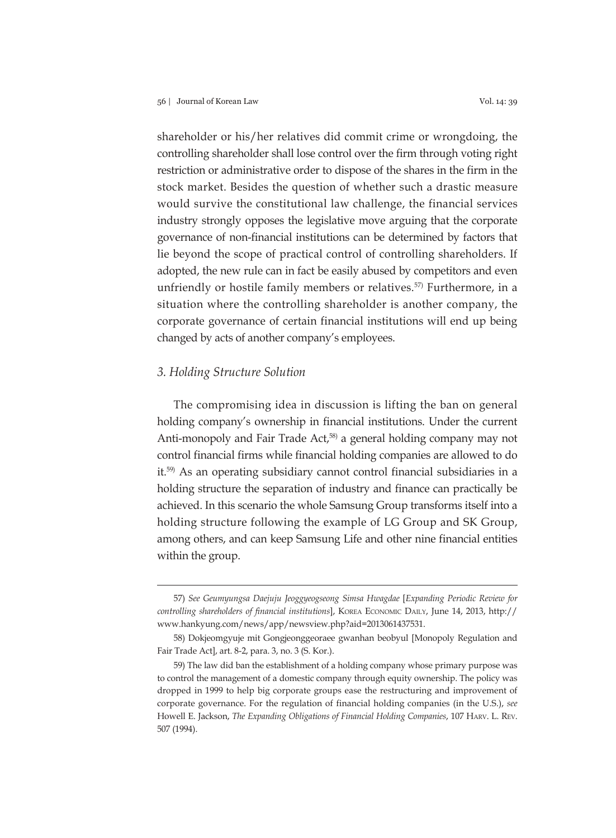shareholder or his/her relatives did commit crime or wrongdoing, the controlling shareholder shall lose control over the firm through voting right restriction or administrative order to dispose of the shares in the firm in the stock market. Besides the question of whether such a drastic measure would survive the constitutional law challenge, the financial services industry strongly opposes the legislative move arguing that the corporate governance of non-financial institutions can be determined by factors that lie beyond the scope of practical control of controlling shareholders. If adopted, the new rule can in fact be easily abused by competitors and even unfriendly or hostile family members or relatives.<sup>57)</sup> Furthermore, in a situation where the controlling shareholder is another company, the corporate governance of certain financial institutions will end up being changed by acts of another company's employees.

#### *3. Holding Structure Solution*

The compromising idea in discussion is lifting the ban on general holding company's ownership in financial institutions. Under the current Anti-monopoly and Fair Trade Act,<sup>58)</sup> a general holding company may not control financial firms while financial holding companies are allowed to do it.59) As an operating subsidiary cannot control financial subsidiaries in a holding structure the separation of industry and finance can practically be achieved. In this scenario the whole Samsung Group transforms itself into a holding structure following the example of LG Group and SK Group, among others, and can keep Samsung Life and other nine financial entities within the group.

<sup>57)</sup> *See Geumyungsa Daejuju Jeoggyeogseong Simsa Hwagdae* [*Expanding Periodic Review for controlling shareholders of financial institutions*], Korea Economic Daily, June 14, 2013, http:// www.hankyung.com/news/app/newsview.php?aid=2013061437531.

<sup>58)</sup> Dokjeomgyuje mit Gongjeonggeoraee gwanhan beobyul [Monopoly Regulation and Fair Trade Act], art. 8-2, para. 3, no. 3 (S. Kor.).

<sup>59)</sup> The law did ban the establishment of a holding company whose primary purpose was to control the management of a domestic company through equity ownership. The policy was dropped in 1999 to help big corporate groups ease the restructuring and improvement of corporate governance. For the regulation of financial holding companies (in the U.S.), *see* Howell E. Jackson, *The Expanding Obligations of Financial Holding Companies*, 107 Harv. L. Rev. 507 (1994).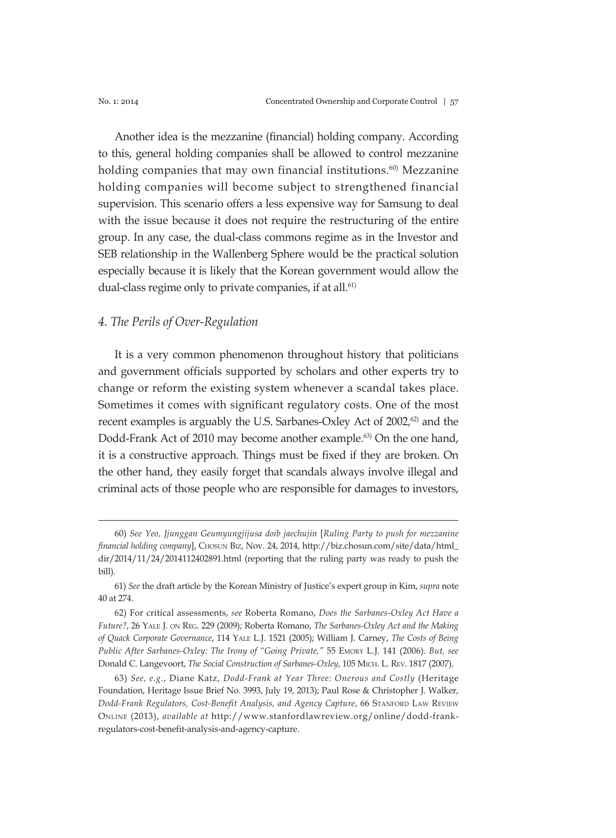Another idea is the mezzanine (financial) holding company. According to this, general holding companies shall be allowed to control mezzanine holding companies that may own financial institutions.<sup>60)</sup> Mezzanine holding companies will become subject to strengthened financial supervision. This scenario offers a less expensive way for Samsung to deal with the issue because it does not require the restructuring of the entire group. In any case, the dual-class commons regime as in the Investor and SEB relationship in the Wallenberg Sphere would be the practical solution especially because it is likely that the Korean government would allow the dual-class regime only to private companies, if at all.<sup>61)</sup>

#### *4. The Perils of Over-Regulation*

It is a very common phenomenon throughout history that politicians and government officials supported by scholars and other experts try to change or reform the existing system whenever a scandal takes place. Sometimes it comes with significant regulatory costs. One of the most recent examples is arguably the U.S. Sarbanes-Oxley Act of 2002,<sup>62)</sup> and the Dodd-Frank Act of 2010 may become another example.<sup>63</sup> On the one hand, it is a constructive approach. Things must be fixed if they are broken. On the other hand, they easily forget that scandals always involve illegal and criminal acts of those people who are responsible for damages to investors,

<sup>60)</sup> *See Yeo, Jjunggan Geumyungjijusa doib jaechujin* [*Ruling Party to push for mezzanine financial holding company*], Chosun Biz, Nov. 24, 2014, http://biz.chosun.com/site/data/html\_ dir/2014/11/24/2014112402891.html (reporting that the ruling party was ready to push the bill).

<sup>61)</sup> *See* the draft article by the Korean Ministry of Justice's expert group in Kim, *supra* note 40 at 274.

<sup>62)</sup> For critical assessments, *see* Roberta Romano, *Does the Sarbanes-Oxley Act Have a Future?*, 26 Yale J. on Reg. 229 (2009); Roberta Romano, *The Sarbanes-Oxley Act and the Making of Quack Corporate Governance*, 114 Yale L.J. 1521 (2005); William J. Carney, *The Costs of Being Public After Sarbanes-Oxley: The Irony of "Going Private,"* 55 Emory L.J. 141 (2006). *But, see* Donald C. Langevoort, *The Social Construction of Sarbanes-Oxley*, 105 Mich. L. Rev. 1817 (2007).

<sup>63)</sup> *See, e.g.*, Diane Katz, *Dodd-Frank at Year Three: Onerous and Costly* (Heritage Foundation, Heritage Issue Brief No. 3993, July 19, 2013); Paul Rose & Christopher J. Walker, *Dodd-Frank Regulators, Cost-Benefit Analysis, and Agency Capture*, 66 Stanford Law Review Online (2013), *available at* http://www.stanfordlawreview.org/online/dodd-frankregulators-cost-benefit-analysis-and-agency-capture.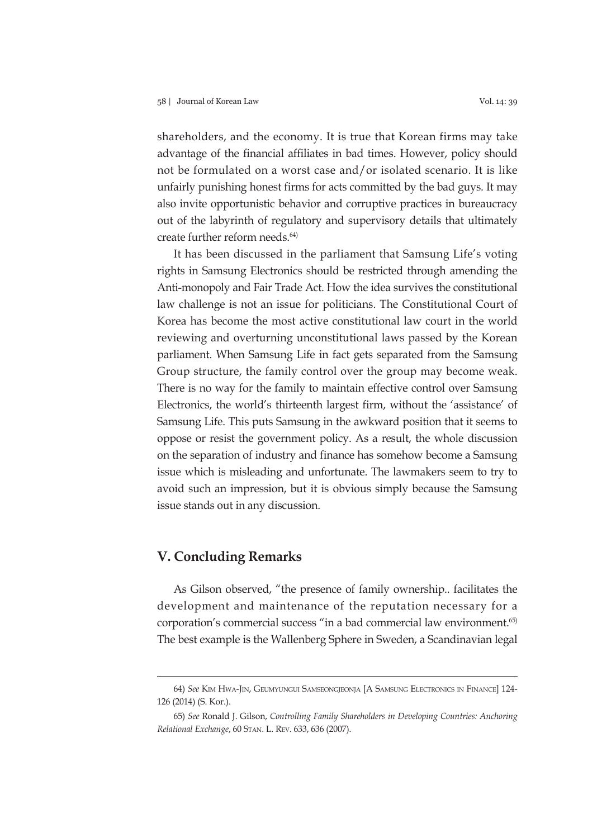shareholders, and the economy. It is true that Korean firms may take advantage of the financial affiliates in bad times. However, policy should

not be formulated on a worst case and/or isolated scenario. It is like unfairly punishing honest firms for acts committed by the bad guys. It may also invite opportunistic behavior and corruptive practices in bureaucracy out of the labyrinth of regulatory and supervisory details that ultimately create further reform needs.<sup>64)</sup>

It has been discussed in the parliament that Samsung Life's voting rights in Samsung Electronics should be restricted through amending the Anti-monopoly and Fair Trade Act. How the idea survives the constitutional law challenge is not an issue for politicians. The Constitutional Court of Korea has become the most active constitutional law court in the world reviewing and overturning unconstitutional laws passed by the Korean parliament. When Samsung Life in fact gets separated from the Samsung Group structure, the family control over the group may become weak. There is no way for the family to maintain effective control over Samsung Electronics, the world's thirteenth largest firm, without the 'assistance' of Samsung Life. This puts Samsung in the awkward position that it seems to oppose or resist the government policy. As a result, the whole discussion on the separation of industry and finance has somehow become a Samsung issue which is misleading and unfortunate. The lawmakers seem to try to avoid such an impression, but it is obvious simply because the Samsung issue stands out in any discussion.

# **V. Concluding Remarks**

As Gilson observed, "the presence of family ownership.. facilitates the development and maintenance of the reputation necessary for a corporation's commercial success "in a bad commercial law environment.<sup>65)</sup> The best example is the Wallenberg Sphere in Sweden, a Scandinavian legal

<sup>64)</sup> *See* Kim Hwa-Jin, Geumyungui Samseongjeonja [A Samsung Electronics in Finance] 124- 126 (2014) (S. Kor.).

<sup>65)</sup> *See* Ronald J. Gilson, *Controlling Family Shareholders in Developing Countries: Anchoring Relational Exchange*, 60 Stan. L. Rev. 633, 636 (2007).